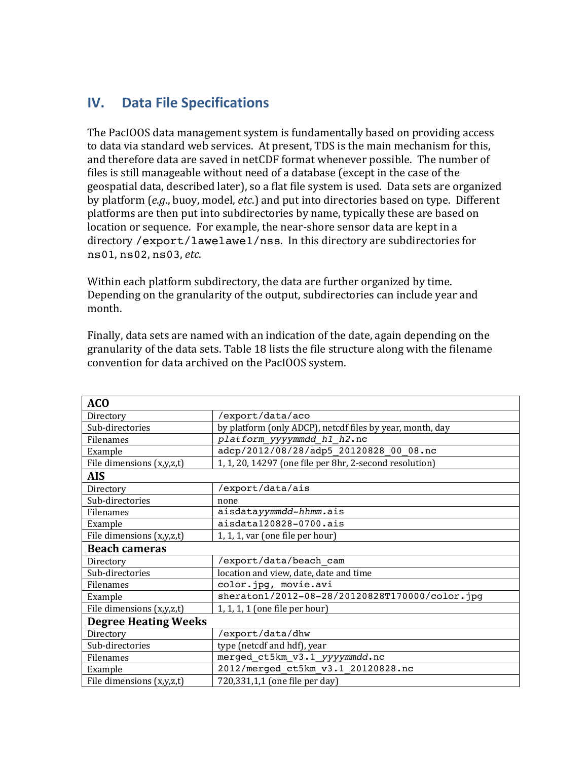## **IV. Data File Specifications**

The PacIOOS data management system is fundamentally based on providing access to data via standard web services. At present, TDS is the main mechanism for this, and therefore data are saved in netCDF format whenever possible. The number of files is still manageable without need of a database (except in the case of the geospatial data, described later), so a flat file system is used. Data sets are organized by platform (*e.g.*, buoy, model, *etc.*) and put into directories based on type. Different platforms are then put into subdirectories by name, typically these are based on location or sequence. For example, the near-shore sensor data are kept in a directory /export/lawelawe1/nss. In this directory are subdirectories for ns01, ns02, ns03, *etc*.

Within each platform subdirectory, the data are further organized by time. Depending on the granularity of the output, subdirectories can include year and month.

Finally, data sets are named with an indication of the date, again depending on the granularity of the data sets. Table 18 lists the file structure along with the filename convention for data archived on the PacIOOS system.

| <b>ACO</b>                  |                                                           |
|-----------------------------|-----------------------------------------------------------|
| Directory                   | /export/data/aco                                          |
| Sub-directories             | by platform (only ADCP), netcdf files by year, month, day |
| Filenames                   | platform yyyymmdd h1 h2.nc                                |
| Example                     | adcp/2012/08/28/adp5 20120828 00 08.nc                    |
| File dimensions (x,y,z,t)   | 1, 1, 20, 14297 (one file per 8hr, 2-second resolution)   |
| <b>AIS</b>                  |                                                           |
| Directory                   | /export/data/ais                                          |
| Sub-directories             | none                                                      |
| Filenames                   | aisdatayymmdd-hhmm.ais                                    |
| Example                     | aisdata120828-0700.ais                                    |
| File dimensions (x,y,z,t)   | 1, 1, 1, var (one file per hour)                          |
| <b>Beach cameras</b>        |                                                           |
| Directory                   | /export/data/beach cam                                    |
| Sub-directories             | location and view, date, date and time                    |
| Filenames                   | color.jpg, movie.avi                                      |
| Example                     | sheraton1/2012-08-28/20120828T170000/color.jpg            |
| File dimensions (x,y,z,t)   | 1, 1, 1, 1 (one file per hour)                            |
| <b>Degree Heating Weeks</b> |                                                           |
| Directory                   | /export/data/dhw                                          |
| Sub-directories             | type (netcdf and hdf), year                               |
| Filenames                   | merged_ct5km_v3.1_yyyymmdd.nc                             |
| Example                     | 2012/merged_ct5km_v3.1_20120828.nc                        |
| File dimensions (x,y,z,t)   | 720,331,1,1 (one file per day)                            |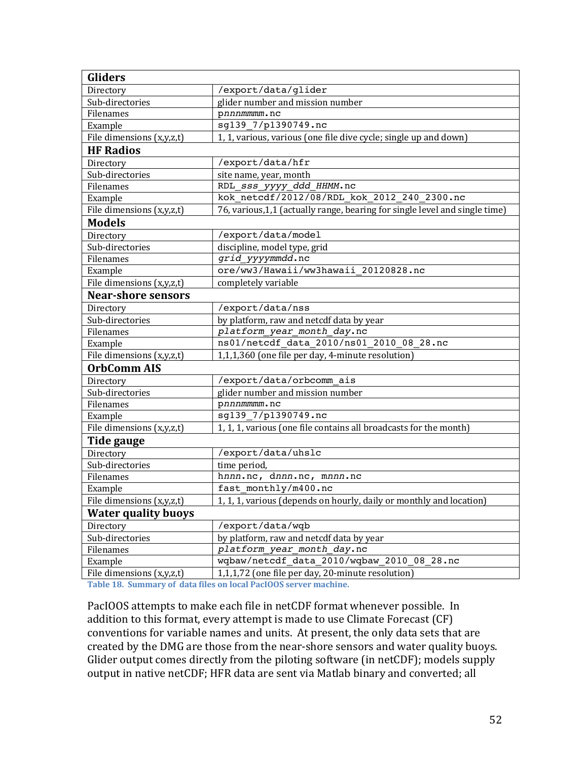| <b>Gliders</b>             |                                                                             |
|----------------------------|-----------------------------------------------------------------------------|
| Directory                  | /export/data/glider                                                         |
| Sub-directories            | glider number and mission number                                            |
| Filenames                  | pnnnmmmm.nc                                                                 |
| Example                    | sg139_7/p1390749.nc                                                         |
| File dimensions (x,y,z,t)  | 1, 1, various, various (one file dive cycle; single up and down)            |
| <b>HF Radios</b>           |                                                                             |
| Directory                  | /export/data/hfr                                                            |
| Sub-directories            | site name, year, month                                                      |
| Filenames                  | RDL SSS yyyy ddd HHMM.nc                                                    |
| Example                    | kok netcdf/2012/08/RDL kok 2012 240 2300.nc                                 |
| File dimensions (x,y,z,t)  | 76, various, 1,1 (actually range, bearing for single level and single time) |
| <b>Models</b>              |                                                                             |
| Directory                  | /export/data/model                                                          |
| Sub-directories            | discipline, model type, grid                                                |
| Filenames                  | grid yyyymmdd.nc                                                            |
| Example                    | ore/ww3/Hawaii/ww3hawaii_20120828.nc                                        |
| File dimensions (x,y,z,t)  | completely variable                                                         |
| <b>Near-shore sensors</b>  |                                                                             |
| Directory                  | /export/data/nss                                                            |
| Sub-directories            | by platform, raw and netcdf data by year                                    |
| Filenames                  | platform year month day.nc                                                  |
| Example                    | ns01/netcdf data 2010/ns01 2010 08 28.nc                                    |
| File dimensions (x,y,z,t)  | 1,1,1,360 (one file per day, 4-minute resolution)                           |
| <b>OrbComm AIS</b>         |                                                                             |
| Directory                  | /export/data/orbcomm_ais                                                    |
| Sub-directories            | glider number and mission number                                            |
| Filenames                  | pnnnmmmm.nc                                                                 |
| Example                    | sg139 7/p1390749.nc                                                         |
| File dimensions (x,y,z,t)  | 1, 1, 1, various (one file contains all broadcasts for the month)           |
| Tide gauge                 |                                                                             |
| Directory                  | /export/data/uhslc                                                          |
| Sub-directories            | time period,                                                                |
| Filenames                  | hnnn.nc, dnnn.nc, mnnn.nc                                                   |
| Example                    | fast_monthly/m400.nc                                                        |
| File dimensions (x,y,z,t)  | 1, 1, 1, various (depends on hourly, daily or monthly and location)         |
| <b>Water quality buovs</b> |                                                                             |
| Directory                  | /export/data/wqb                                                            |
| Sub-directories            | by platform, raw and netcdf data by year                                    |
| Filenames                  | platform year month day.nc                                                  |
| Example                    | wqbaw/netcdf_data_2010/wqbaw_2010_08_28.nc                                  |
| File dimensions (x,y,z,t)  | 1,1,1,72 (one file per day, 20-minute resolution)                           |

Table 18. Summary of data files on local PacIOOS server machine.

PacIOOS attempts to make each file in netCDF format whenever possible. In addition to this format, every attempt is made to use Climate Forecast  $(CF)$ conventions for variable names and units. At present, the only data sets that are created by the DMG are those from the near-shore sensors and water quality buoys. Glider output comes directly from the piloting software (in netCDF); models supply output in native netCDF; HFR data are sent via Matlab binary and converted; all